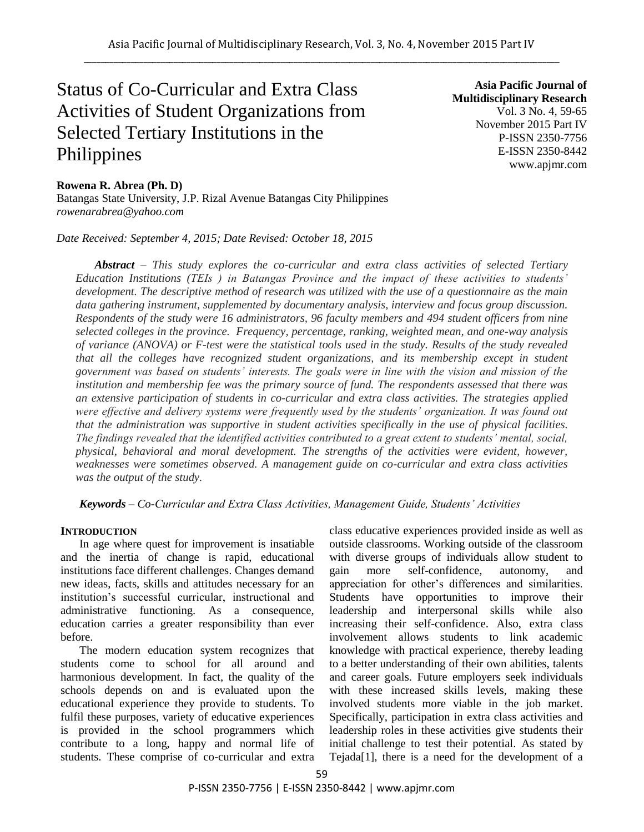# Status of Co-Curricular and Extra Class Activities of Student Organizations from Selected Tertiary Institutions in the Philippines

**Asia Pacific Journal of Multidisciplinary Research** Vol. 3 No. 4, 59-65 November 2015 Part IV P-ISSN 2350-7756 E-ISSN 2350-8442 www.apjmr.com

## **Rowena R. Abrea (Ph. D)**

Batangas State University, J.P. Rizal Avenue Batangas City Philippines *rowenarabrea@yahoo.com*

*Date Received: September 4, 2015; Date Revised: October 18, 2015*

*Abstract – This study explores the co-curricular and extra class activities of selected Tertiary Education Institutions (TEIs ) in Batangas Province and the impact of these activities to students' development. The descriptive method of research was utilized with the use of a questionnaire as the main data gathering instrument, supplemented by documentary analysis, interview and focus group discussion. Respondents of the study were 16 administrators, 96 faculty members and 494 student officers from nine selected colleges in the province. Frequency, percentage, ranking, weighted mean, and one-way analysis of variance (ANOVA) or F-test were the statistical tools used in the study. Results of the study revealed that all the colleges have recognized student organizations, and its membership except in student government was based on students' interests. The goals were in line with the vision and mission of the institution and membership fee was the primary source of fund. The respondents assessed that there was an extensive participation of students in co-curricular and extra class activities. The strategies applied were effective and delivery systems were frequently used by the students' organization. It was found out that the administration was supportive in student activities specifically in the use of physical facilities. The findings revealed that the identified activities contributed to a great extent to students' mental, social, physical, behavioral and moral development. The strengths of the activities were evident, however, weaknesses were sometimes observed. A management guide on co-curricular and extra class activities was the output of the study.*

*Keywords – Co-Curricular and Extra Class Activities, Management Guide, Students' Activities*

## **INTRODUCTION**

In age where quest for improvement is insatiable and the inertia of change is rapid, educational institutions face different challenges. Changes demand new ideas, facts, skills and attitudes necessary for an institution's successful curricular, instructional and administrative functioning. As a consequence, education carries a greater responsibility than ever before.

The modern education system recognizes that students come to school for all around and harmonious development. In fact, the quality of the schools depends on and is evaluated upon the educational experience they provide to students. To fulfil these purposes, variety of educative experiences is provided in the school programmers which contribute to a long, happy and normal life of students. These comprise of co-curricular and extra class educative experiences provided inside as well as outside classrooms. Working outside of the classroom with diverse groups of individuals allow student to gain more self-confidence, autonomy, and appreciation for other's differences and similarities. Students have opportunities to improve their leadership and interpersonal skills while also increasing their self-confidence. Also, extra class involvement allows students to link academic knowledge with practical experience, thereby leading to a better understanding of their own abilities, talents and career goals. Future employers seek individuals with these increased skills levels, making these involved students more viable in the job market. Specifically, participation in extra class activities and leadership roles in these activities give students their initial challenge to test their potential. As stated by Tejada[1], there is a need for the development of a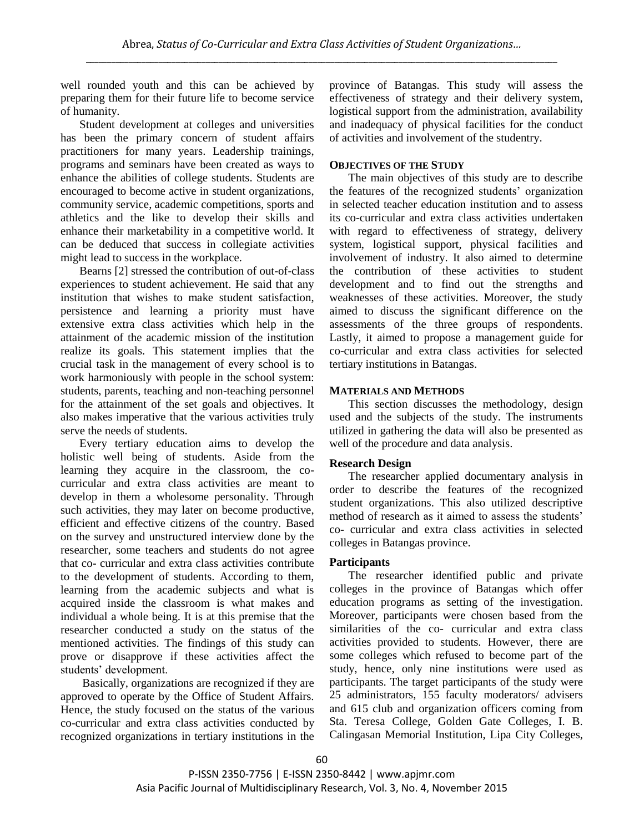well rounded youth and this can be achieved by preparing them for their future life to become service of humanity.

Student development at colleges and universities has been the primary concern of student affairs practitioners for many years. Leadership trainings, programs and seminars have been created as ways to enhance the abilities of college students. Students are encouraged to become active in student organizations, community service, academic competitions, sports and athletics and the like to develop their skills and enhance their marketability in a competitive world. It can be deduced that success in collegiate activities might lead to success in the workplace.

Bearns [2] stressed the contribution of out-of-class experiences to student achievement. He said that any institution that wishes to make student satisfaction, persistence and learning a priority must have extensive extra class activities which help in the attainment of the academic mission of the institution realize its goals. This statement implies that the crucial task in the management of every school is to work harmoniously with people in the school system: students, parents, teaching and non-teaching personnel for the attainment of the set goals and objectives. It also makes imperative that the various activities truly serve the needs of students.

Every tertiary education aims to develop the holistic well being of students. Aside from the learning they acquire in the classroom, the cocurricular and extra class activities are meant to develop in them a wholesome personality. Through such activities, they may later on become productive, efficient and effective citizens of the country. Based on the survey and unstructured interview done by the researcher, some teachers and students do not agree that co- curricular and extra class activities contribute to the development of students. According to them, learning from the academic subjects and what is acquired inside the classroom is what makes and individual a whole being. It is at this premise that the researcher conducted a study on the status of the mentioned activities. The findings of this study can prove or disapprove if these activities affect the students' development.

Basically, organizations are recognized if they are approved to operate by the Office of Student Affairs. Hence, the study focused on the status of the various co-curricular and extra class activities conducted by recognized organizations in tertiary institutions in the province of Batangas. This study will assess the effectiveness of strategy and their delivery system, logistical support from the administration, availability and inadequacy of physical facilities for the conduct of activities and involvement of the studentry.

## **OBJECTIVES OF THE STUDY**

The main objectives of this study are to describe the features of the recognized students' organization in selected teacher education institution and to assess its co-curricular and extra class activities undertaken with regard to effectiveness of strategy, delivery system, logistical support, physical facilities and involvement of industry. It also aimed to determine the contribution of these activities to student development and to find out the strengths and weaknesses of these activities. Moreover, the study aimed to discuss the significant difference on the assessments of the three groups of respondents. Lastly, it aimed to propose a management guide for co-curricular and extra class activities for selected tertiary institutions in Batangas.

# **MATERIALS AND METHODS**

This section discusses the methodology, design used and the subjects of the study. The instruments utilized in gathering the data will also be presented as well of the procedure and data analysis.

## **Research Design**

The researcher applied documentary analysis in order to describe the features of the recognized student organizations. This also utilized descriptive method of research as it aimed to assess the students' co- curricular and extra class activities in selected colleges in Batangas province.

## **Participants**

The researcher identified public and private colleges in the province of Batangas which offer education programs as setting of the investigation. Moreover, participants were chosen based from the similarities of the co- curricular and extra class activities provided to students. However, there are some colleges which refused to become part of the study, hence, only nine institutions were used as participants. The target participants of the study were 25 administrators, 155 faculty moderators/ advisers and 615 club and organization officers coming from Sta. Teresa College, Golden Gate Colleges, I. B. Calingasan Memorial Institution, Lipa City Colleges,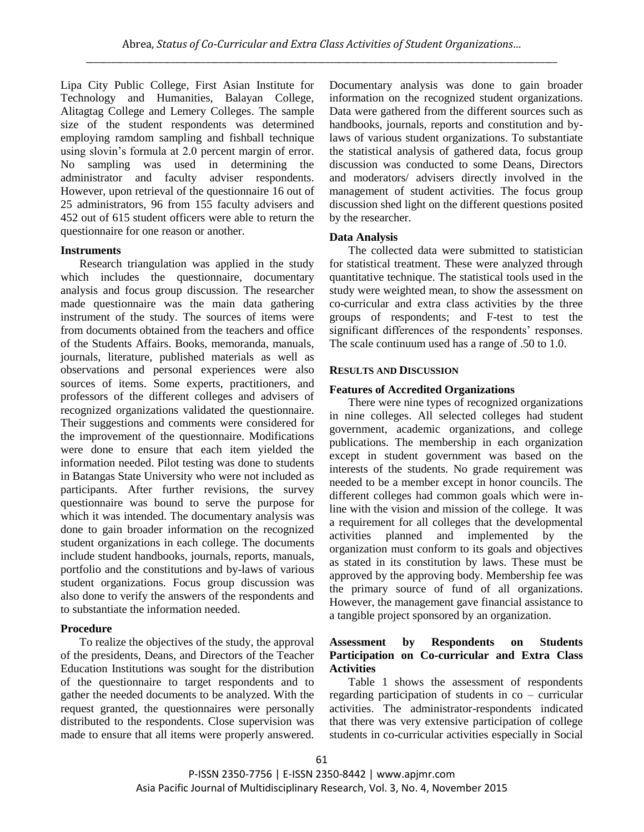Lipa City Public College, First Asian Institute for Technology and Humanities, Balayan College, Alitagtag College and Lemery Colleges. The sample size of the student respondents was determined employing ramdom sampling and fishball technique using slovin's formula at 2.0 percent margin of error. No sampling was used in determining the administrator and faculty adviser respondents. However, upon retrieval of the questionnaire 16 out of 25 administrators, 96 from 155 faculty advisers and 452 out of 615 student officers were able to return the questionnaire for one reason or another.

## **Instruments**

Research triangulation was applied in the study which includes the questionnaire, documentary analysis and focus group discussion. The researcher made questionnaire was the main data gathering instrument of the study. The sources of items were from documents obtained from the teachers and office of the Students Affairs. Books, memoranda, manuals, journals, literature, published materials as well as observations and personal experiences were also sources of items. Some experts, practitioners, and professors of the different colleges and advisers of recognized organizations validated the questionnaire. Their suggestions and comments were considered for the improvement of the questionnaire. Modifications were done to ensure that each item yielded the information needed. Pilot testing was done to students in Batangas State University who were not included as participants. After further revisions, the survey questionnaire was bound to serve the purpose for which it was intended. The documentary analysis was done to gain broader information on the recognized student organizations in each college. The documents include student handbooks, journals, reports, manuals, portfolio and the constitutions and by-laws of various student organizations. Focus group discussion was also done to verify the answers of the respondents and to substantiate the information needed.

# **Procedure**

To realize the objectives of the study, the approval of the presidents, Deans, and Directors of the Teacher Education Institutions was sought for the distribution of the questionnaire to target respondents and to gather the needed documents to be analyzed. With the request granted, the questionnaires were personally distributed to the respondents. Close supervision was made to ensure that all items were properly answered. Documentary analysis was done to gain broader information on the recognized student organizations. Data were gathered from the different sources such as handbooks, journals, reports and constitution and bylaws of various student organizations. To substantiate the statistical analysis of gathered data, focus group discussion was conducted to some Deans, Directors and moderators/ advisers directly involved in the management of student activities. The focus group discussion shed light on the different questions posited by the researcher.

# **Data Analysis**

The collected data were submitted to statistician for statistical treatment. These were analyzed through quantitative technique. The statistical tools used in the study were weighted mean, to show the assessment on co-curricular and extra class activities by the three groups of respondents; and F-test to test the significant differences of the respondents' responses. The scale continuum used has a range of .50 to 1.0.

# **RESULTS AND DISCUSSION**

# **Features of Accredited Organizations**

There were nine types of recognized organizations in nine colleges. All selected colleges had student government, academic organizations, and college publications. The membership in each organization except in student government was based on the interests of the students. No grade requirement was needed to be a member except in honor councils. The different colleges had common goals which were inline with the vision and mission of the college. It was a requirement for all colleges that the developmental activities planned and implemented by the organization must conform to its goals and objectives as stated in its constitution by laws. These must be approved by the approving body. Membership fee was the primary source of fund of all organizations. However, the management gave financial assistance to a tangible project sponsored by an organization.

# **Assessment by Respondents on Students Participation on Co-curricular and Extra Class Activities**

Table 1 shows the assessment of respondents regarding participation of students in co – curricular activities. The administrator-respondents indicated that there was very extensive participation of college students in co-curricular activities especially in Social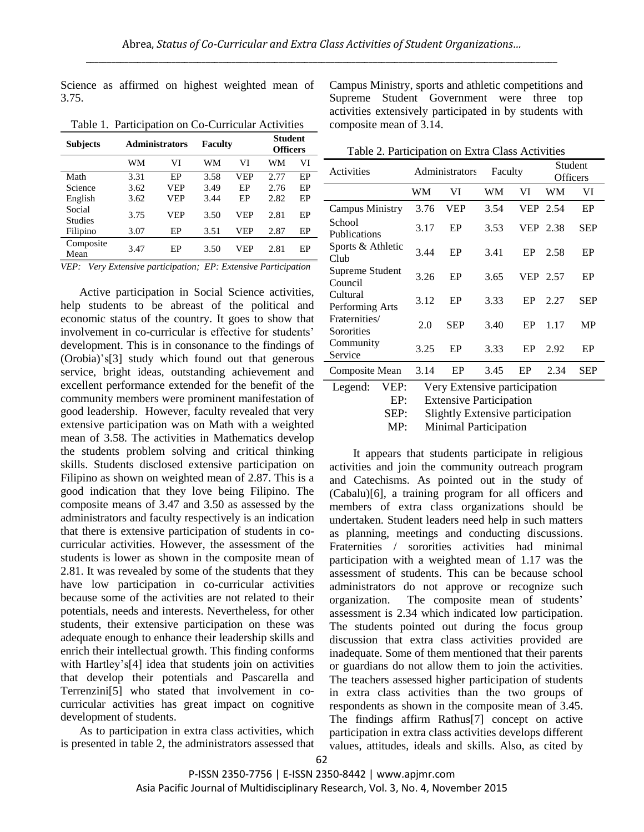Science as affirmed on highest weighted mean of 3.75.

| <b>Subjects</b>          |      | <b>Administrators</b> | Faculty |            | <b>Student</b><br><b>Officers</b> |    |
|--------------------------|------|-----------------------|---------|------------|-----------------------------------|----|
|                          | WМ   | VI                    | WM      | VI         | WM                                | VI |
| Math                     | 3.31 | EP                    | 3.58    | VEP        | 2.77                              | EP |
| Science                  | 3.62 | VEP                   | 3.49    | EP         | 2.76                              | EP |
| English                  | 3.62 | <b>VEP</b>            | 3.44    | EP         | 2.82                              | EP |
| Social<br><b>Studies</b> | 3.75 | <b>VEP</b>            | 3.50    | <b>VEP</b> | 2.81                              | EP |
| Filipino                 | 3.07 | EP                    | 3.51    | VEP        | 2.87                              | EP |
| Composite<br>Mean        | 3.47 | EP                    | 3.50    | VEP        | 2.81                              | EP |
|                          |      |                       |         |            |                                   |    |

Table 1. Participation on Co-Curricular Activities

*VEP: Very Extensive participation; EP: Extensive Participation*

Active participation in Social Science activities, help students to be abreast of the political and economic status of the country. It goes to show that involvement in co-curricular is effective for students' development. This is in consonance to the findings of (Orobia)'s[3] study which found out that generous service, bright ideas, outstanding achievement and excellent performance extended for the benefit of the community members were prominent manifestation of good leadership. However, faculty revealed that very extensive participation was on Math with a weighted mean of 3.58. The activities in Mathematics develop the students problem solving and critical thinking skills. Students disclosed extensive participation on Filipino as shown on weighted mean of 2.87. This is a good indication that they love being Filipino. The composite means of 3.47 and 3.50 as assessed by the administrators and faculty respectively is an indication that there is extensive participation of students in cocurricular activities. However, the assessment of the students is lower as shown in the composite mean of 2.81. It was revealed by some of the students that they have low participation in co-curricular activities because some of the activities are not related to their potentials, needs and interests. Nevertheless, for other students, their extensive participation on these was adequate enough to enhance their leadership skills and enrich their intellectual growth. This finding conforms with Hartley's[4] idea that students join on activities that develop their potentials and Pascarella and Terrenzini[5] who stated that involvement in cocurricular activities has great impact on cognitive development of students.

As to participation in extra class activities, which is presented in table 2, the administrators assessed that Campus Ministry, sports and athletic competitions and Supreme Student Government were three top activities extensively participated in by students with composite mean of 3.14.

Table 2. Participation on Extra Class Activities

| Activities                    |      | Administrators                                                 | Faculty |            | Student<br><b>Officers</b> |            |
|-------------------------------|------|----------------------------------------------------------------|---------|------------|----------------------------|------------|
|                               | WM   | VI                                                             | WM      | VI         | WМ                         | VI         |
| Campus Ministry               | 3.76 | VEP                                                            | 3.54    | <b>VEP</b> | 2.54                       | EP         |
| School<br><b>Publications</b> | 3.17 | EP                                                             | 3.53    | <b>VEP</b> | 2.38                       | <b>SEP</b> |
| Sports & Athletic<br>Club     | 3.44 | EP                                                             | 3.41    | EP         | 2.58                       | EP         |
| Supreme Student<br>Council    | 3.26 | EP                                                             | 3.65    | <b>VEP</b> | 2.57                       | EP         |
| Cultural<br>Performing Arts   | 3.12 | EP                                                             | 3.33    | EP         | 2.27                       | <b>SEP</b> |
| Fraternities/<br>Sororities   | 2.0  | <b>SEP</b>                                                     | 3.40    | EP         | 1.17                       | <b>MP</b>  |
| Community<br>Service          | 3.25 | EP                                                             | 3.33    | EP         | 2.92                       | EP         |
| Composite Mean                | 3.14 | EP                                                             | 3.45    | EP         | 2.34                       | <b>SEP</b> |
| VEP:<br>Legend:<br>EP:        |      | Very Extensive participation<br><b>Extensive Participation</b> |         |            |                            |            |

SEP: Slightly Extensive participation

MP: Minimal Participation

It appears that students participate in religious activities and join the community outreach program and Catechisms. As pointed out in the study of (Cabalu)[6], a training program for all officers and members of extra class organizations should be undertaken. Student leaders need help in such matters as planning, meetings and conducting discussions. Fraternities / sororities activities had minimal participation with a weighted mean of 1.17 was the assessment of students. This can be because school administrators do not approve or recognize such organization. The composite mean of students' assessment is 2.34 which indicated low participation. The students pointed out during the focus group discussion that extra class activities provided are inadequate. Some of them mentioned that their parents or guardians do not allow them to join the activities. The teachers assessed higher participation of students in extra class activities than the two groups of respondents as shown in the composite mean of 3.45. The findings affirm Rathus[7] concept on active participation in extra class activities develops different values, attitudes, ideals and skills. Also, as cited by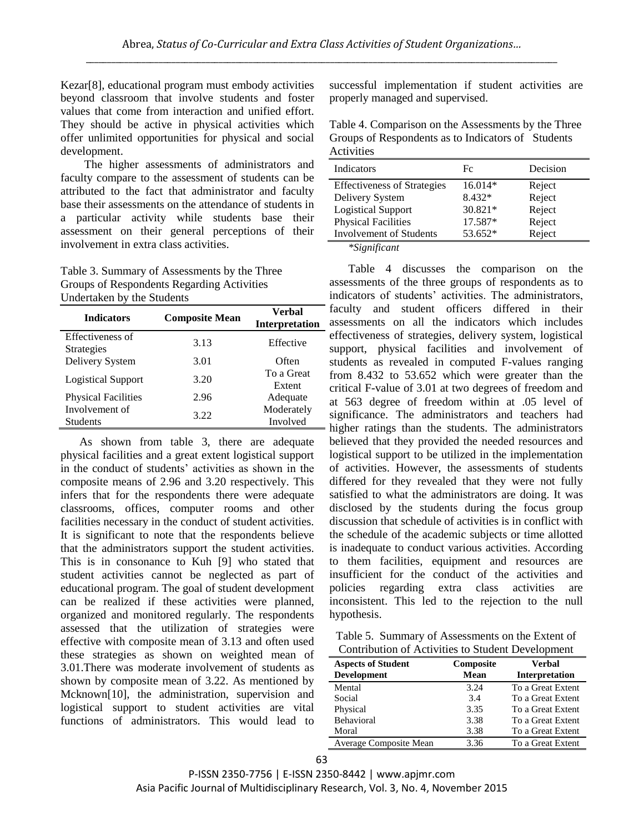Kezar[8], educational program must embody activities beyond classroom that involve students and foster values that come from interaction and unified effort. They should be active in physical activities which offer unlimited opportunities for physical and social development.

The higher assessments of administrators and faculty compare to the assessment of students can be attributed to the fact that administrator and faculty base their assessments on the attendance of students in a particular activity while students base their assessment on their general perceptions of their involvement in extra class activities.

Table 3. Summary of Assessments by the Three Groups of Respondents Regarding Activities Undertaken by the Students

| <b>Indicators</b>                     | <b>Composite Mean</b> | <b>Verbal</b><br><b>Interpretation</b> |
|---------------------------------------|-----------------------|----------------------------------------|
| Effectiveness of<br><b>Strategies</b> | 3.13                  | Effective                              |
| Delivery System                       | 3.01                  | Often                                  |
| <b>Logistical Support</b>             | 3.20                  | To a Great<br>Extent                   |
| <b>Physical Facilities</b>            | 2.96                  | Adequate                               |
| Involvement of<br><b>Students</b>     | 3.22                  | Moderately<br>Involved                 |

As shown from table 3, there are adequate physical facilities and a great extent logistical support in the conduct of students' activities as shown in the composite means of 2.96 and 3.20 respectively. This infers that for the respondents there were adequate classrooms, offices, computer rooms and other facilities necessary in the conduct of student activities. It is significant to note that the respondents believe that the administrators support the student activities. This is in consonance to Kuh [9] who stated that student activities cannot be neglected as part of educational program. The goal of student development can be realized if these activities were planned, organized and monitored regularly. The respondents assessed that the utilization of strategies were effective with composite mean of 3.13 and often used these strategies as shown on weighted mean of 3.01.There was moderate involvement of students as shown by composite mean of 3.22. As mentioned by Mcknown[10], the administration, supervision and logistical support to student activities are vital functions of administrators. This would lead to

successful implementation if student activities are properly managed and supervised.

Table 4. Comparison on the Assessments by the Three Groups of Respondents as to Indicators of Students Activities

| Indicators                         | Fc        | Decision |
|------------------------------------|-----------|----------|
| <b>Effectiveness of Strategies</b> | $16.014*$ | Reject   |
| Delivery System                    | 8.432*    | Reject   |
| <b>Logistical Support</b>          | 30.821*   | Reject   |
| <b>Physical Facilities</b>         | 17.587*   | Reject   |
| <b>Involvement of Students</b>     | 53.652*   | Reject   |

*\*Significant*

Table 4 discusses the comparison on the assessments of the three groups of respondents as to indicators of students' activities. The administrators, faculty and student officers differed in their assessments on all the indicators which includes effectiveness of strategies, delivery system, logistical support, physical facilities and involvement of students as revealed in computed F-values ranging from 8.432 to 53.652 which were greater than the critical F-value of 3.01 at two degrees of freedom and at 563 degree of freedom within at .05 level of significance. The administrators and teachers had higher ratings than the students. The administrators believed that they provided the needed resources and logistical support to be utilized in the implementation of activities. However, the assessments of students differed for they revealed that they were not fully satisfied to what the administrators are doing. It was disclosed by the students during the focus group discussion that schedule of activities is in conflict with the schedule of the academic subjects or time allotted is inadequate to conduct various activities. According to them facilities, equipment and resources are insufficient for the conduct of the activities and policies regarding extra class activities are inconsistent. This led to the rejection to the null hypothesis.

Table 5. Summary of Assessments on the Extent of Contribution of Activities to Student Development

| <b>Aspects of Student</b><br><b>Development</b> | Composite<br>Mean | <b>Verbal</b><br>Interpretation |
|-------------------------------------------------|-------------------|---------------------------------|
| Mental                                          | 3.24              | To a Great Extent               |
| Social                                          | 3.4               | To a Great Extent               |
| Physical                                        | 3.35              | To a Great Extent               |
| Behavioral                                      | 3.38              | To a Great Extent               |
| Moral                                           | 3.38              | To a Great Extent               |
| Average Composite Mean                          | 3.36              | To a Great Extent               |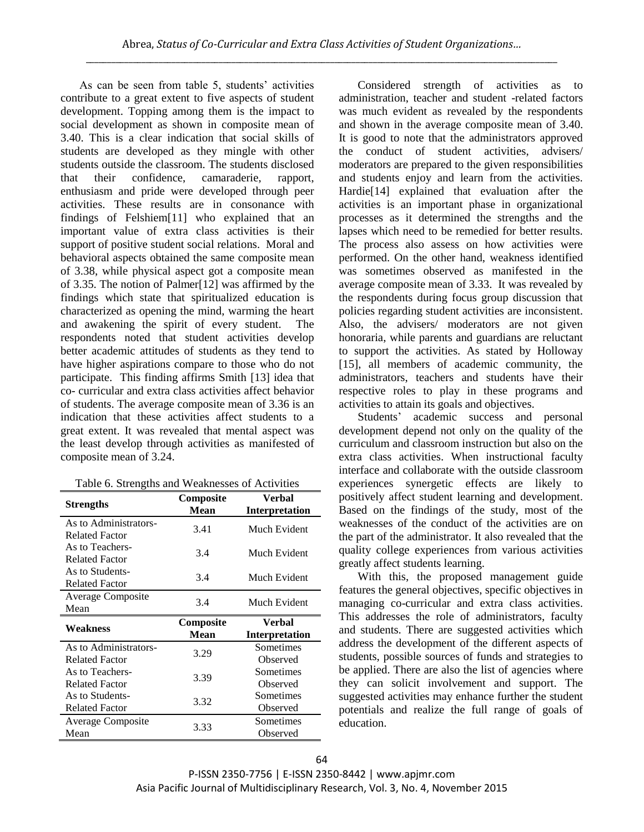As can be seen from table 5, students' activities contribute to a great extent to five aspects of student development. Topping among them is the impact to social development as shown in composite mean of 3.40. This is a clear indication that social skills of students are developed as they mingle with other students outside the classroom. The students disclosed that their confidence, camaraderie, rapport, enthusiasm and pride were developed through peer activities. These results are in consonance with findings of Felshiem[11] who explained that an important value of extra class activities is their support of positive student social relations. Moral and behavioral aspects obtained the same composite mean of 3.38, while physical aspect got a composite mean of 3.35. The notion of Palmer[12] was affirmed by the findings which state that spiritualized education is characterized as opening the mind, warming the heart and awakening the spirit of every student. The respondents noted that student activities develop better academic attitudes of students as they tend to have higher aspirations compare to those who do not participate. This finding affirms Smith [13] idea that co- curricular and extra class activities affect behavior of students. The average composite mean of 3.36 is an indication that these activities affect students to a great extent. It was revealed that mental aspect was the least develop through activities as manifested of composite mean of 3.24.

| <b>Strengths</b>                               | Composite<br><b>Mean</b> | Verbal<br>Interpretation        |
|------------------------------------------------|--------------------------|---------------------------------|
| As to Administrators-<br><b>Related Factor</b> | 3.41                     | Much Evident                    |
| As to Teachers-<br><b>Related Factor</b>       | 3.4                      | Much Evident                    |
| As to Students-<br><b>Related Factor</b>       | 3.4                      | Much Evident                    |
| <b>Average Composite</b><br>Mean               | 3.4                      | Much Evident                    |
|                                                |                          |                                 |
| Weakness                                       | Composite<br><b>Mean</b> | Verbal<br><b>Interpretation</b> |
| As to Administrators-<br><b>Related Factor</b> | 3.29                     | Sometimes<br>Observed           |
| As to Teachers-<br><b>Related Factor</b>       | 3.39                     | Sometimes<br>Observed           |
| As to Students-<br><b>Related Factor</b>       | 3.32                     | Sometimes<br>Observed           |

Considered strength of activities as to administration, teacher and student -related factors was much evident as revealed by the respondents and shown in the average composite mean of 3.40. It is good to note that the administrators approved the conduct of student activities, advisers/ moderators are prepared to the given responsibilities and students enjoy and learn from the activities. Hardie[14] explained that evaluation after the activities is an important phase in organizational processes as it determined the strengths and the lapses which need to be remedied for better results. The process also assess on how activities were performed. On the other hand, weakness identified was sometimes observed as manifested in the average composite mean of 3.33. It was revealed by the respondents during focus group discussion that policies regarding student activities are inconsistent. Also, the advisers/ moderators are not given honoraria, while parents and guardians are reluctant to support the activities. As stated by Holloway [15], all members of academic community, the administrators, teachers and students have their respective roles to play in these programs and activities to attain its goals and objectives.

Students' academic success and personal development depend not only on the quality of the curriculum and classroom instruction but also on the extra class activities. When instructional faculty interface and collaborate with the outside classroom experiences synergetic effects are likely to positively affect student learning and development. Based on the findings of the study, most of the weaknesses of the conduct of the activities are on the part of the administrator. It also revealed that the quality college experiences from various activities greatly affect students learning.

With this, the proposed management guide features the general objectives, specific objectives in managing co-curricular and extra class activities. This addresses the role of administrators, faculty and students. There are suggested activities which address the development of the different aspects of students, possible sources of funds and strategies to be applied. There are also the list of agencies where they can solicit involvement and support. The suggested activities may enhance further the student potentials and realize the full range of goals of education.

P-ISSN 2350-7756 | E-ISSN 2350-8442 | www.apjmr.com Asia Pacific Journal of Multidisciplinary Research, Vol. 3, No. 4, November 2015